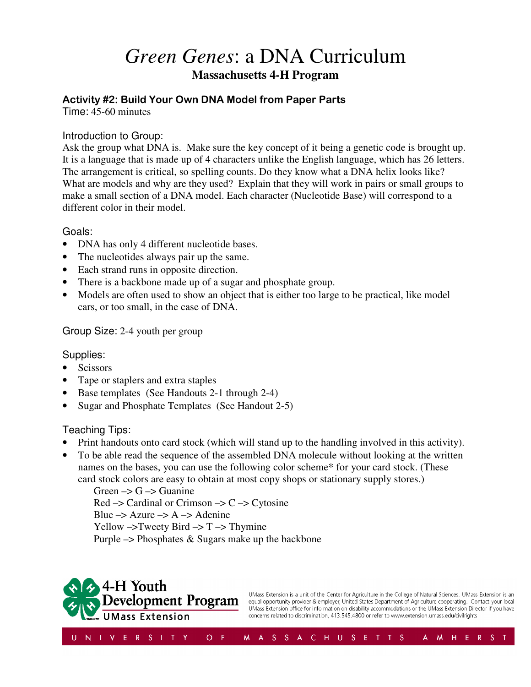# *Green Genes*: a DNA Curriculum **Massachusetts 4-H Program**

# Activity #2: Build Your Own DNA Model from Paper Parts

Time: 45-60 minutes

#### Introduction to Group:

Ask the group what DNA is. Make sure the key concept of it being a genetic code is brought up. It is a language that is made up of 4 characters unlike the English language, which has 26 letters. The arrangement is critical, so spelling counts. Do they know what a DNA helix looks like? What are models and why are they used? Explain that they will work in pairs or small groups to make a small section of a DNA model. Each character (Nucleotide Base) will correspond to a different color in their model.

#### Goals:

- DNA has only 4 different nucleotide bases.
- The nucleotides always pair up the same.
- Each strand runs in opposite direction.
- There is a backbone made up of a sugar and phosphate group.
- Models are often used to show an object that is either too large to be practical, like model cars, or too small, in the case of DNA.

#### Group Size: 2-4 youth per group

## Supplies:

- Scissors
- Tape or staplers and extra staples
- Base templates (See Handouts 2-1 through 2-4)
- Sugar and Phosphate Templates (See Handout 2-5)

## Teaching Tips:

- Print handouts onto card stock (which will stand up to the handling involved in this activity).
- To be able read the sequence of the assembled DNA molecule without looking at the written names on the bases, you can use the following color scheme\* for your card stock. (These card stock colors are easy to obtain at most copy shops or stationary supply stores.)

Green  $\rightarrow$  G  $\rightarrow$  Guanine  $Red \rightarrow Cardinal$  or Crimson  $\rightarrow C \rightarrow C$  vtosine Blue  $\rightarrow$  Azure  $\rightarrow$  A  $\rightarrow$  Adenine Yellow  $\rightarrow$  Tweety Bird  $\rightarrow$  T $\rightarrow$  Thymine Purple  $\rightarrow$  Phosphates & Sugars make up the backbone



UMass Extension is a unit of the Center for Agriculture in the College of Natural Sciences. UMass Extension is an equal opportunity provider & employer, United States Department of Agriculture cooperating. Contact your local UMass Extension office for information on disability accommodations or the UMass Extension Director if you have concerns related to discrimination, 413.545.4800 or refer to www.extension.umass.edu/civilrights

A M H E R S T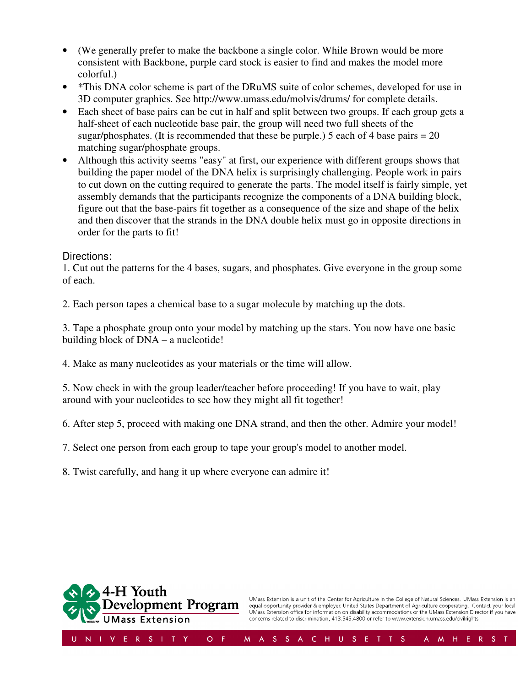- (We generally prefer to make the backbone a single color. While Brown would be more consistent with Backbone, purple card stock is easier to find and makes the model more colorful.)
- \*This DNA color scheme is part of the DRuMS suite of color schemes, developed for use in 3D computer graphics. See http://www.umass.edu/molvis/drums/ for complete details.
- Each sheet of base pairs can be cut in half and split between two groups. If each group gets a half-sheet of each nucleotide base pair, the group will need two full sheets of the sugar/phosphates. (It is recommended that these be purple.) 5 each of 4 base pairs  $= 20$ matching sugar/phosphate groups.
- Although this activity seems "easy" at first, our experience with different groups shows that building the paper model of the DNA helix is surprisingly challenging. People work in pairs to cut down on the cutting required to generate the parts. The model itself is fairly simple, yet assembly demands that the participants recognize the components of a DNA building block, figure out that the base-pairs fit together as a consequence of the size and shape of the helix and then discover that the strands in the DNA double helix must go in opposite directions in order for the parts to fit!

#### Directions:

1. Cut out the patterns for the 4 bases, sugars, and phosphates. Give everyone in the group some of each.

2. Each person tapes a chemical base to a sugar molecule by matching up the dots.

3. Tape a phosphate group onto your model by matching up the stars. You now have one basic building block of DNA – a nucleotide!

4. Make as many nucleotides as your materials or the time will allow.

5. Now check in with the group leader/teacher before proceeding! If you have to wait, play around with your nucleotides to see how they might all fit together!

6. After step 5, proceed with making one DNA strand, and then the other. Admire your model!

7. Select one person from each group to tape your group's model to another model.

8. Twist carefully, and hang it up where everyone can admire it!



UMass Extension is a unit of the Center for Agriculture in the College of Natural Sciences. UMass Extension is an<br>equal opportunity provider & employer, United States Department of Agriculture cooperating. Contact your loc concerns related to discrimination, 413.545.4800 or refer to www.extension.umass.edu/civilrights

M H E R

A.

 $S$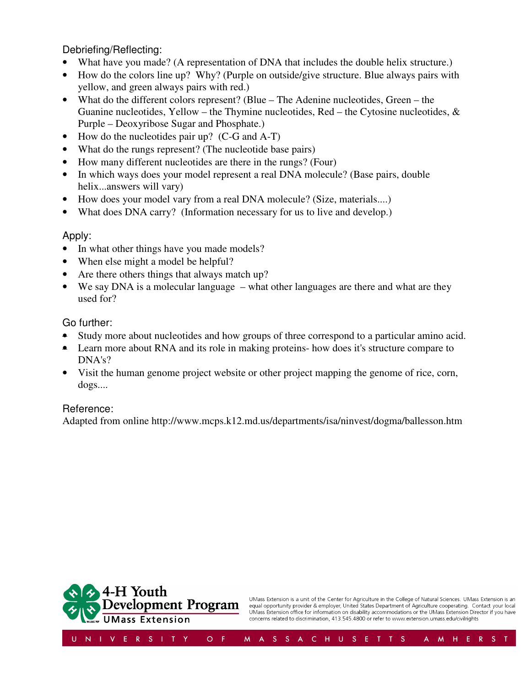Debriefing/Reflecting:

- What have you made? (A representation of DNA that includes the double helix structure.)
- How do the colors line up? Why? (Purple on outside/give structure. Blue always pairs with yellow, and green always pairs with red.)
- What do the different colors represent? (Blue The Adenine nucleotides, Green the Guanine nucleotides, Yellow – the Thymine nucleotides, Red – the Cytosine nucleotides,  $\&$ Purple – Deoxyribose Sugar and Phosphate.)
- How do the nucleotides pair up? (C-G and A-T)
- What do the rungs represent? (The nucleotide base pairs)
- How many different nucleotides are there in the rungs? (Four)
- In which ways does your model represent a real DNA molecule? (Base pairs, double helix...answers will vary)
- How does your model vary from a real DNA molecule? (Size, materials....)
- What does DNA carry? (Information necessary for us to live and develop.)

#### Apply:

- In what other things have you made models?
- When else might a model be helpful?
- Are there others things that always match up?
- We say DNA is a molecular language what other languages are there and what are they used for?

## Go further:

- Study more about nucleotides and how groups of three correspond to a particular amino acid.
- Learn more about RNA and its role in making proteins- how does it's structure compare to DNA's?
- Visit the human genome project website or other project mapping the genome of rice, corn, dogs....

## Reference:

Adapted from online http://www.mcps.k12.md.us/departments/isa/ninvest/dogma/ballesson.htm



UMass Extension is a unit of the Center for Agriculture in the College of Natural Sciences. UMass Extension is an<br>equal opportunity provider & employer, United States Department of Agriculture cooperating. Contact your loc concerns related to discrimination, 413.545.4800 or refer to www.extension.umass.edu/civilrights

 $M$  H E

 $\mathsf{A}^-$ 

 $S$ 

 $\mathbb{R}$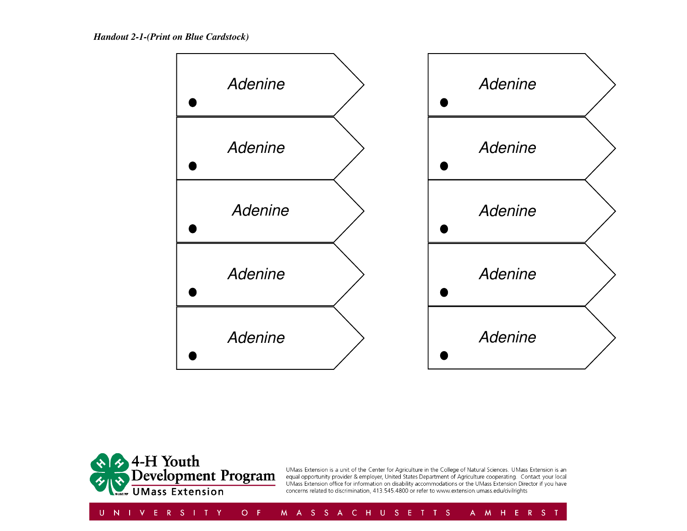

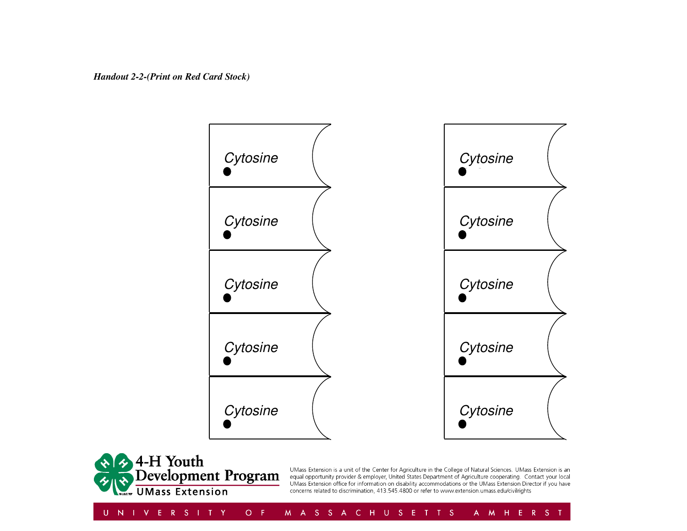

884-H Youth<br>Development Program

UMass Extension is a unit of the Center for Agriculture in the College of Natural Sciences. UMass Extension is an equal opportunity provider & employer, United States Department of Agriculture cooperating. Contact your local UMass Extension office for information on disability accommodations or the UMass Extension Director if you have concerns related to discrimination, 413.545.4800 or refer to www.extension.umass.edu/civilrights

U N I V E R S I T Y  $O - F$ M A S S A C H U S E T T S A M H E R S T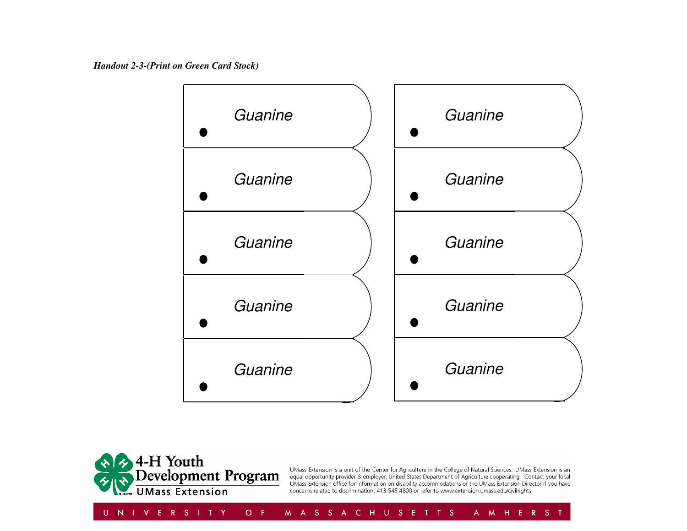*Handout 2-3-(Print on Green Card Stock)* 





UMass Extension is a unit of the Center for Agriculture in the College of Natural Sciences. UMass Extension is an equal opportunity provider & employer, United States Department of Agriculture cooperating. Contact your local UMass Extension office for information on disability accommodations or the UMass Extension Director if you have concerns related to discrimination, 413.545.4800 or refer to www.extension.umass.edu/civilrights

UNIVERSITY  $O - F$ A M H E R S T M A S S A C H U S E T T S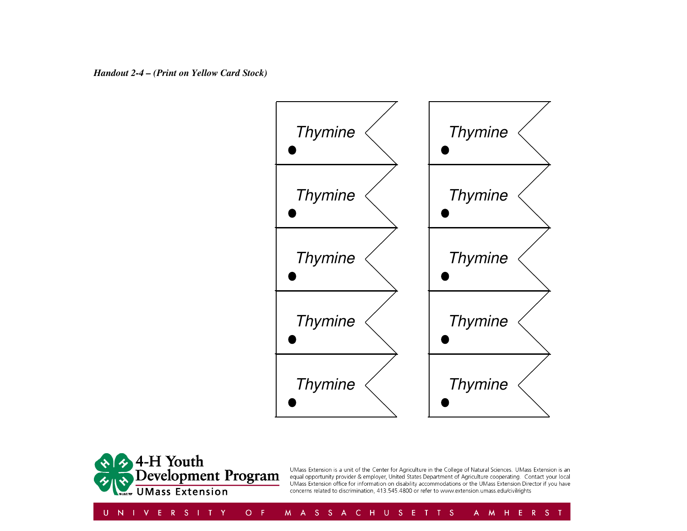



UMass Extension is a unit of the Center for Agriculture in the College of Natural Sciences. UMass Extension is an equal opportunity provider & employer, United States Department of Agriculture cooperating. Contact your local UMass Extension office for information on disability accommodations or the UMass Extension Director if you have concerns related to discrimination, 413.545.4800 or refer to www.extension.umass.edu/civilrights